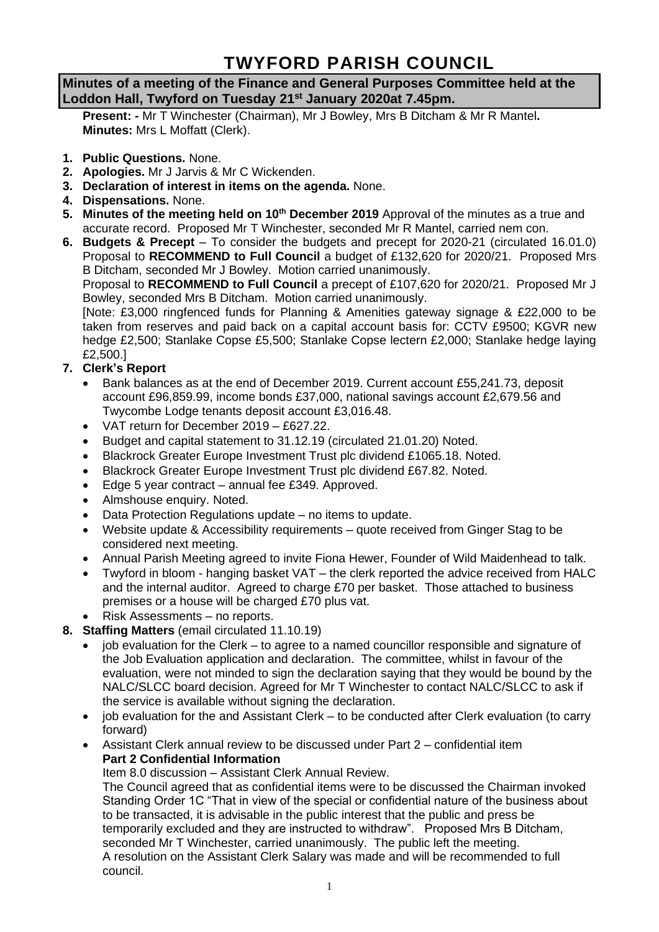# **TWYFORD PARISH COUNCIL**

## **Minutes of a meeting of the Finance and General Purposes Committee held at the Loddon Hall, Twyford on Tuesday 21st January 2020at 7.45pm.**

**Present: -** Mr T Winchester (Chairman), Mr J Bowley, Mrs B Ditcham & Mr R Mantel**. Minutes:** Mrs L Moffatt (Clerk).

- **1. Public Questions.** None.
- **2. Apologies.** Mr J Jarvis & Mr C Wickenden.
- **3. Declaration of interest in items on the agenda.** None.
- **4. Dispensations.** None.
- **5. Minutes of the meeting held on 10th December 2019** Approval of the minutes as a true and accurate record. Proposed Mr T Winchester, seconded Mr R Mantel, carried nem con.
- **6. Budgets & Precept** To consider the budgets and precept for 2020-21 (circulated 16.01.0) Proposal to **RECOMMEND to Full Council** a budget of £132,620 for 2020/21. Proposed Mrs B Ditcham, seconded Mr J Bowley. Motion carried unanimously. Proposal to **RECOMMEND to Full Council** a precept of £107,620 for 2020/21. Proposed Mr J Bowley, seconded Mrs B Ditcham. Motion carried unanimously. [Note: £3,000 ringfenced funds for Planning & Amenities gateway signage & £22,000 to be taken from reserves and paid back on a capital account basis for: CCTV £9500; KGVR new hedge £2,500; Stanlake Copse £5,500; Stanlake Copse lectern £2,000; Stanlake hedge laying £2,500.] **7. Clerk's Report**
	- Bank balances as at the end of December 2019. Current account £55,241.73, deposit account £96,859.99, income bonds £37,000, national savings account £2,679.56 and Twycombe Lodge tenants deposit account £3,016.48.
	- VAT return for December 2019 £627.22.
	- Budget and capital statement to 31.12.19 (circulated 21.01.20) Noted.
	- Blackrock Greater Europe Investment Trust plc dividend £1065.18. Noted.
	- Blackrock Greater Europe Investment Trust plc dividend £67.82. Noted.
	- Edge 5 year contract annual fee £349. Approved.
	- Almshouse enquiry. Noted.
	- Data Protection Regulations update no items to update.
	- Website update & Accessibility requirements quote received from Ginger Stag to be considered next meeting.
	- Annual Parish Meeting agreed to invite Fiona Hewer, Founder of Wild Maidenhead to talk.
	- Twyford in bloom hanging basket VAT the clerk reported the advice received from HALC and the internal auditor. Agreed to charge £70 per basket. Those attached to business premises or a house will be charged £70 plus vat.
	- Risk Assessments no reports.
- **8. Staffing Matters** (email circulated 11.10.19)
	- job evaluation for the Clerk to agree to a named councillor responsible and signature of the Job Evaluation application and declaration. The committee, whilst in favour of the evaluation, were not minded to sign the declaration saying that they would be bound by the NALC/SLCC board decision. Agreed for Mr T Winchester to contact NALC/SLCC to ask if the service is available without signing the declaration.
	- job evaluation for the and Assistant Clerk to be conducted after Clerk evaluation (to carry forward)
	- Assistant Clerk annual review to be discussed under Part 2 confidential item **Part 2 Confidential Information**
		- Item 8.0 discussion Assistant Clerk Annual Review.

The Council agreed that as confidential items were to be discussed the Chairman invoked Standing Order 1C "That in view of the special or confidential nature of the business about to be transacted, it is advisable in the public interest that the public and press be temporarily excluded and they are instructed to withdraw". Proposed Mrs B Ditcham, seconded Mr T Winchester, carried unanimously. The public left the meeting. A resolution on the Assistant Clerk Salary was made and will be recommended to full council.